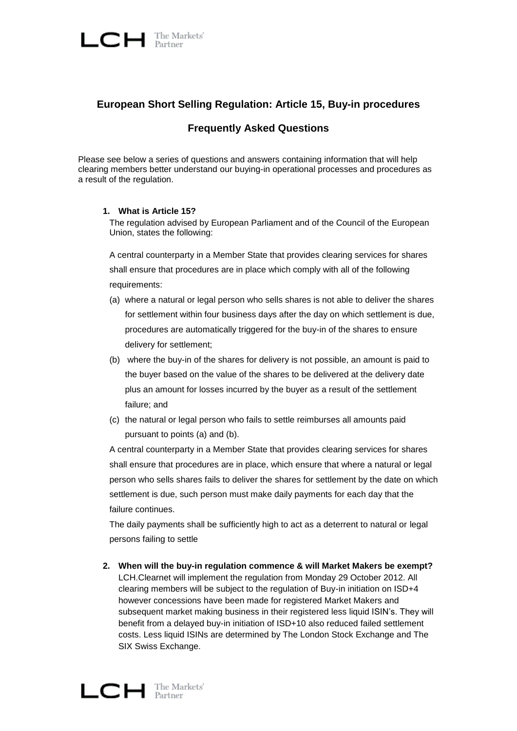

# **European Short Selling Regulation: Article 15, Buy-in procedures**

## **Frequently Asked Questions**

Please see below a series of questions and answers containing information that will help clearing members better understand our buying-in operational processes and procedures as a result of the regulation.

#### **1. What is Article 15?**

The regulation advised by European Parliament and of the Council of the European Union, states the following:

A central counterparty in a Member State that provides clearing services for shares shall ensure that procedures are in place which comply with all of the following requirements:

- (a) where a natural or legal person who sells shares is not able to deliver the shares for settlement within four business days after the day on which settlement is due, procedures are automatically triggered for the buy-in of the shares to ensure delivery for settlement;
- (b) where the buy-in of the shares for delivery is not possible, an amount is paid to the buyer based on the value of the shares to be delivered at the delivery date plus an amount for losses incurred by the buyer as a result of the settlement failure; and
- (c) the natural or legal person who fails to settle reimburses all amounts paid pursuant to points (a) and (b).

A central counterparty in a Member State that provides clearing services for shares shall ensure that procedures are in place, which ensure that where a natural or legal person who sells shares fails to deliver the shares for settlement by the date on which settlement is due, such person must make daily payments for each day that the failure continues.

The daily payments shall be sufficiently high to act as a deterrent to natural or legal persons failing to settle

**2. When will the buy-in regulation commence & will Market Makers be exempt?** LCH.Clearnet will implement the regulation from Monday 29 October 2012. All clearing members will be subject to the regulation of Buy-in initiation on ISD+4 however concessions have been made for registered Market Makers and subsequent market making business in their registered less liquid ISIN"s. They will benefit from a delayed buy-in initiation of ISD+10 also reduced failed settlement costs. Less liquid ISINs are determined by The London Stock Exchange and The SIX Swiss Exchange.

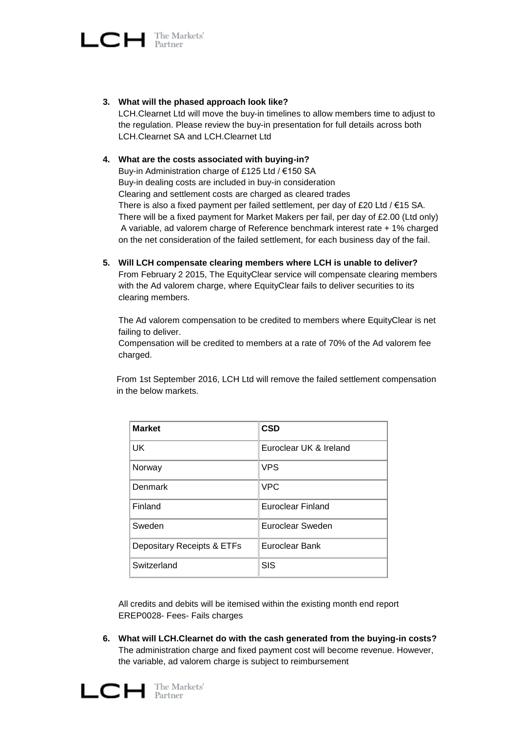

**3. What will the phased approach look like?**

LCH.Clearnet Ltd will move the buy-in timelines to allow members time to adjust to the regulation. Please review the buy-in presentation for full details across both LCH.Clearnet SA and LCH.Clearnet Ltd

## **4. What are the costs associated with buying-in?**

Buy-in Administration charge of £125 Ltd / €150 SA Buy-in dealing costs are included in buy-in consideration Clearing and settlement costs are charged as cleared trades There is also a fixed payment per failed settlement, per day of £20 Ltd /  $€15$  SA. There will be a fixed payment for Market Makers per fail, per day of £2.00 (Ltd only) A variable, ad valorem charge of Reference benchmark interest rate + 1% charged on the net consideration of the failed settlement, for each business day of the fail.

**5. Will LCH compensate clearing members where LCH is unable to deliver?** From February 2 2015, The EquityClear service will compensate clearing members with the Ad valorem charge, where EquityClear fails to deliver securities to its clearing members.

The Ad valorem compensation to be credited to members where EquityClear is net failing to deliver.

Compensation will be credited to members at a rate of 70% of the Ad valorem fee charged.

From 1st September 2016, LCH Ltd will remove the failed settlement compensation in the below markets.

| <b>Market</b>              | <b>CSD</b>              |
|----------------------------|-------------------------|
| <b>UK</b>                  | Euroclear UK & Ireland  |
| Norway                     | <b>VPS</b>              |
| Denmark                    | <b>VPC</b>              |
| Finland                    | Euroclear Finland       |
| Sweden                     | <b>Euroclear Sweden</b> |
| Depositary Receipts & ETFs | Euroclear Bank          |
| Switzerland                | SIS                     |

All credits and debits will be itemised within the existing month end report EREP0028- Fees- Fails charges

**6. What will LCH.Clearnet do with the cash generated from the buying-in costs?** The administration charge and fixed payment cost will become revenue. However, the variable, ad valorem charge is subject to reimbursement

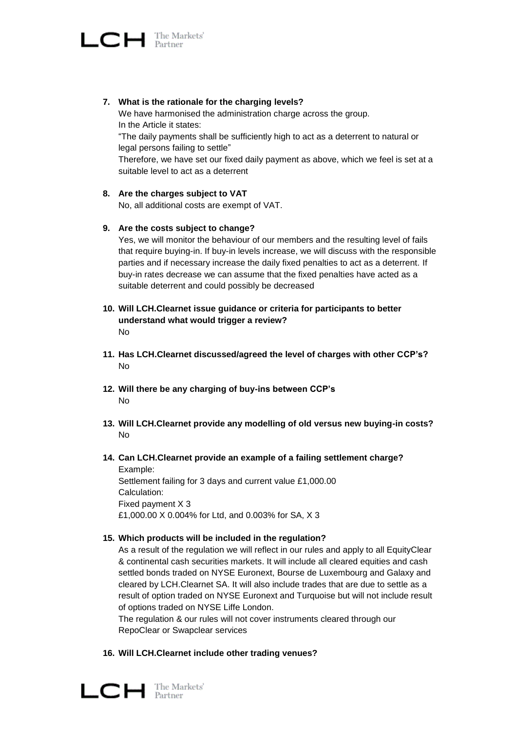

- **7. What is the rationale for the charging levels?**  We have harmonised the administration charge across the group. In the Article it states: "The daily payments shall be sufficiently high to act as a deterrent to natural or legal persons failing to settle" Therefore, we have set our fixed daily payment as above, which we feel is set at a suitable level to act as a deterrent
- **8. Are the charges subject to VAT**

No, all additional costs are exempt of VAT.

**9. Are the costs subject to change?**

Yes, we will monitor the behaviour of our members and the resulting level of fails that require buying-in. If buy-in levels increase, we will discuss with the responsible parties and if necessary increase the daily fixed penalties to act as a deterrent. If buy-in rates decrease we can assume that the fixed penalties have acted as a suitable deterrent and could possibly be decreased

- **10. Will LCH.Clearnet issue guidance or criteria for participants to better understand what would trigger a review?** No
- **11. Has LCH.Clearnet discussed/agreed the level of charges with other CCP's?** No
- **12. Will there be any charging of buy-ins between CCP's** No
- **13. Will LCH.Clearnet provide any modelling of old versus new buying-in costs?** No
- **14. Can LCH.Clearnet provide an example of a failing settlement charge?** Example: Settlement failing for 3 days and current value £1,000.00

Calculation: Fixed payment X 3 £1,000.00 X 0.004% for Ltd, and 0.003% for SA, X 3

## **15. Which products will be included in the regulation?**

As a result of the regulation we will reflect in our rules and apply to all EquityClear & continental cash securities markets. It will include all cleared equities and cash settled bonds traded on NYSE Euronext, Bourse de Luxembourg and Galaxy and cleared by LCH.Clearnet SA. It will also include trades that are due to settle as a result of option traded on NYSE Euronext and Turquoise but will not include result of options traded on NYSE Liffe London.

The regulation & our rules will not cover instruments cleared through our RepoClear or Swapclear services

#### **16. Will LCH.Clearnet include other trading venues?**

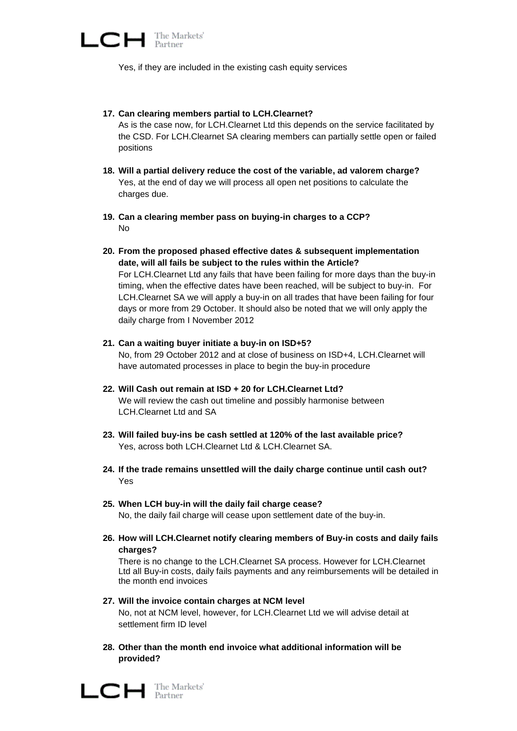

Yes, if they are included in the existing cash equity services

#### **17. Can clearing members partial to LCH.Clearnet?**

As is the case now, for LCH.Clearnet Ltd this depends on the service facilitated by the CSD. For LCH.Clearnet SA clearing members can partially settle open or failed positions

- **18. Will a partial delivery reduce the cost of the variable, ad valorem charge?** Yes, at the end of day we will process all open net positions to calculate the charges due.
- **19. Can a clearing member pass on buying-in charges to a CCP?**  No
- **20. From the proposed phased effective dates & subsequent implementation date, will all fails be subject to the rules within the Article?** For LCH.Clearnet Ltd any fails that have been failing for more days than the buy-in timing, when the effective dates have been reached, will be subject to buy-in. For LCH.Clearnet SA we will apply a buy-in on all trades that have been failing for four days or more from 29 October. It should also be noted that we will only apply the daily charge from I November 2012
- **21. Can a waiting buyer initiate a buy-in on ISD+5?** No, from 29 October 2012 and at close of business on ISD+4, LCH.Clearnet will have automated processes in place to begin the buy-in procedure
- **22. Will Cash out remain at ISD + 20 for LCH.Clearnet Ltd?** We will review the cash out timeline and possibly harmonise between LCH.Clearnet Ltd and SA
- **23. Will failed buy-ins be cash settled at 120% of the last available price?** Yes, across both LCH.Clearnet Ltd & LCH.Clearnet SA.
- **24. If the trade remains unsettled will the daily charge continue until cash out?** Yes
- **25. When LCH buy-in will the daily fail charge cease?** No, the daily fail charge will cease upon settlement date of the buy-in.
- **26. How will LCH.Clearnet notify clearing members of Buy-in costs and daily fails charges?**

There is no change to the LCH.Clearnet SA process. However for LCH.Clearnet Ltd all Buy-in costs, daily fails payments and any reimbursements will be detailed in the month end invoices

**27. Will the invoice contain charges at NCM level**

No, not at NCM level, however, for LCH.Clearnet Ltd we will advise detail at settlement firm ID level

**28. Other than the month end invoice what additional information will be provided?**

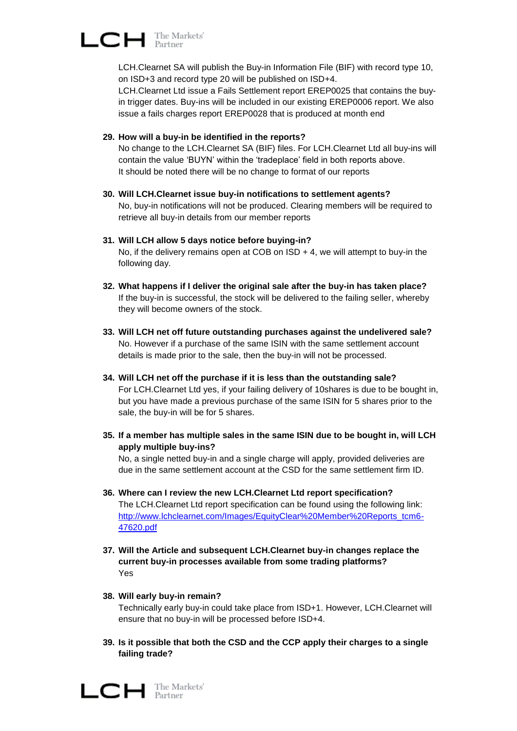$\Box$   $\Box$  The Markets'

LCH.Clearnet SA will publish the Buy-in Information File (BIF) with record type 10, on ISD+3 and record type 20 will be published on ISD+4.

LCH.Clearnet Ltd issue a Fails Settlement report EREP0025 that contains the buyin trigger dates. Buy-ins will be included in our existing EREP0006 report. We also issue a fails charges report EREP0028 that is produced at month end

## **29. How will a buy-in be identified in the reports?**

No change to the LCH.Clearnet SA (BIF) files. For LCH.Clearnet Ltd all buy-ins will contain the value "BUYN" within the "tradeplace" field in both reports above. It should be noted there will be no change to format of our reports

- **30. Will LCH.Clearnet issue buy-in notifications to settlement agents?** No, buy-in notifications will not be produced. Clearing members will be required to retrieve all buy-in details from our member reports
- **31. Will LCH allow 5 days notice before buying-in?** No, if the delivery remains open at COB on  $ISD + 4$ , we will attempt to buy-in the following day.
- **32. What happens if I deliver the original sale after the buy-in has taken place?** If the buy-in is successful, the stock will be delivered to the failing seller, whereby they will become owners of the stock.
- **33. Will LCH net off future outstanding purchases against the undelivered sale?** No. However if a purchase of the same ISIN with the same settlement account details is made prior to the sale, then the buy-in will not be processed.
- **34. Will LCH net off the purchase if it is less than the outstanding sale?** For LCH.Clearnet Ltd yes, if your failing delivery of 10shares is due to be bought in, but you have made a previous purchase of the same ISIN for 5 shares prior to the sale, the buy-in will be for 5 shares.
- **35. If a member has multiple sales in the same ISIN due to be bought in, will LCH apply multiple buy-ins?**

No, a single netted buy-in and a single charge will apply, provided deliveries are due in the same settlement account at the CSD for the same settlement firm ID.

- **36. Where can I review the new LCH.Clearnet Ltd report specification?** The LCH.Clearnet Ltd report specification can be found using the following link: [http://www.lchclearnet.com/Images/EquityClear%20Member%20Reports\\_tcm6-](http://www.lchclearnet.com/Images/EquityClear%20Member%20Reports_tcm6-47620.pdf) [47620.pdf](http://www.lchclearnet.com/Images/EquityClear%20Member%20Reports_tcm6-47620.pdf)
- **37. Will the Article and subsequent LCH.Clearnet buy-in changes replace the current buy-in processes available from some trading platforms?**  Yes
- **38. Will early buy-in remain?**

Technically early buy-in could take place from ISD+1. However, LCH.Clearnet will ensure that no buy-in will be processed before ISD+4.

**39. Is it possible that both the CSD and the CCP apply their charges to a single failing trade?**